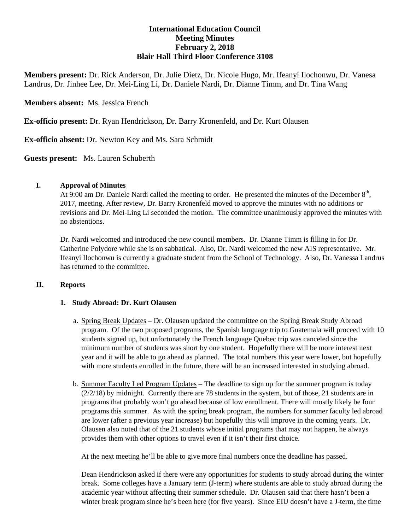# **International Education Council Meeting Minutes February 2, 2018 Blair Hall Third Floor Conference 3108**

**Members present:** Dr. Rick Anderson, Dr. Julie Dietz, Dr. Nicole Hugo, Mr. Ifeanyi Ilochonwu, Dr. Vanesa Landrus, Dr. Jinhee Lee, Dr. Mei-Ling Li, Dr. Daniele Nardi, Dr. Dianne Timm, and Dr. Tina Wang

## **Members absent:** Ms. Jessica French

**Ex-officio present:** Dr. Ryan Hendrickson, Dr. Barry Kronenfeld, and Dr. Kurt Olausen

**Ex-officio absent:** Dr. Newton Key and Ms. Sara Schmidt

**Guests present:** Ms. Lauren Schuberth

### **I. Approval of Minutes**

At 9:00 am Dr. Daniele Nardi called the meeting to order. He presented the minutes of the December  $8<sup>th</sup>$ , 2017, meeting. After review, Dr. Barry Kronenfeld moved to approve the minutes with no additions or revisions and Dr. Mei-Ling Li seconded the motion. The committee unanimously approved the minutes with no abstentions.

Dr. Nardi welcomed and introduced the new council members. Dr. Dianne Timm is filling in for Dr. Catherine Polydore while she is on sabbatical. Also, Dr. Nardi welcomed the new AIS representative. Mr. Ifeanyi Ilochonwu is currently a graduate student from the School of Technology. Also, Dr. Vanessa Landrus has returned to the committee.

### **II. Reports**

#### **1. Study Abroad: Dr. Kurt Olausen**

- a. Spring Break Updates Dr. Olausen updated the committee on the Spring Break Study Abroad program. Of the two proposed programs, the Spanish language trip to Guatemala will proceed with 10 students signed up, but unfortunately the French language Quebec trip was canceled since the minimum number of students was short by one student. Hopefully there will be more interest next year and it will be able to go ahead as planned. The total numbers this year were lower, but hopefully with more students enrolled in the future, there will be an increased interested in studying abroad.
- b. Summer Faculty Led Program Updates The deadline to sign up for the summer program is today  $(2/2/18)$  by midnight. Currently there are 78 students in the system, but of those, 21 students are in programs that probably won't go ahead because of low enrollment. There will mostly likely be four programs this summer. As with the spring break program, the numbers for summer faculty led abroad are lower (after a previous year increase) but hopefully this will improve in the coming years. Dr. Olausen also noted that of the 21 students whose initial programs that may not happen, he always provides them with other options to travel even if it isn't their first choice.

At the next meeting he'll be able to give more final numbers once the deadline has passed.

Dean Hendrickson asked if there were any opportunities for students to study abroad during the winter break. Some colleges have a January term (J-term) where students are able to study abroad during the academic year without affecting their summer schedule. Dr. Olausen said that there hasn't been a winter break program since he's been here (for five years). Since EIU doesn't have a J-term, the time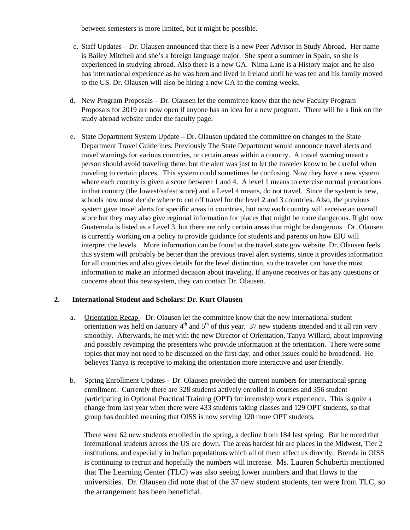between semesters is more limited, but it might be possible.

- c. Staff Updates Dr. Olausen announced that there is a new Peer Advisor in Study Abroad. Her name is Bailey Mitchell and she's a foreign language major. She spent a summer in Spain, so she is experienced in studying abroad. Also there is a new GA. Nima Lane is a History major and he also has international experience as he was born and lived in Ireland until he was ten and his family moved to the US. Dr. Olausen will also be hiring a new GA in the coming weeks.
- d. New Program Proposals Dr. Olausen let the committee know that the new Faculty Program Proposals for 2019 are now open if anyone has an idea for a new program. There will be a link on the study abroad website under the faculty page.
- e. State Department System Update Dr. Olausen updated the committee on changes to the State Department Travel Guidelines. Previously The State Department would announce travel alerts and travel warnings for various countries, or certain areas within a country. A travel warning meant a person should avoid traveling there, but the alert was just to let the traveler know to be careful when traveling to certain places. This system could sometimes be confusing. Now they have a new system where each country is given a score between 1 and 4. A level 1 means to exercise normal precautions in that country (the lowest/safest score) and a Level 4 means, do not travel. Since the system is new, schools now must decide where to cut off travel for the level 2 and 3 countries. Also, the previous system gave travel alerts for specific areas in countries, but now each country will receive an overall score but they may also give regional information for places that might be more dangerous. Right now Guatemala is listed as a Level 3, but there are only certain areas that might be dangerous. Dr. Olausen is currently working on a policy to provide guidance for students and parents on how EIU will interpret the levels. More information can be found at the travel.state.gov website. Dr. Olausen feels this system will probably be better than the previous travel alert systems, since it provides information for all countries and also gives details for the level distinction, so the traveler can have the most information to make an informed decision about traveling. If anyone receives or has any questions or concerns about this new system, they can contact Dr. Olausen.

### **2. International Student and Scholars: Dr. Kurt Olausen**

- a. Orientation Recap Dr. Olausen let the committee know that the new international student orientation was held on January  $4<sup>th</sup>$  and  $5<sup>th</sup>$  of this year. 37 new students attended and it all ran very smoothly. Afterwards, he met with the new Director of Orientation, Tanya Willard, about improving and possibly revamping the presenters who provide information at the orientation. There were some topics that may not need to be discussed on the first day, and other issues could be broadened. He believes Tanya is receptive to making the orientation more interactive and user friendly.
- b. Spring Enrollment Updates Dr. Olausen provided the current numbers for international spring enrollment. Currently there are 328 students actively enrolled in courses and 356 student participating in Optional Practical Training (OPT) for internship work experience. This is quite a change from last year when there were 433 students taking classes and 129 OPT students, so that group has doubled meaning that OISS is now serving 120 more OPT students.

There were 62 new students enrolled in the spring, a decline from 184 last spring. But he noted that international students across the US are down. The areas hardest hit are places in the Midwest, Tier 2 institutions, and especially in Indian populations which all of them affect us directly. Brenda in OISS is continuing to recruit and hopefully the numbers will increase. Ms. Lauren Schuberth mentioned that The Learning Center (TLC) was also seeing lower numbers and that flows to the universities. Dr. Olausen did note that of the 37 new student students, ten were from TLC, so the arrangement has been beneficial.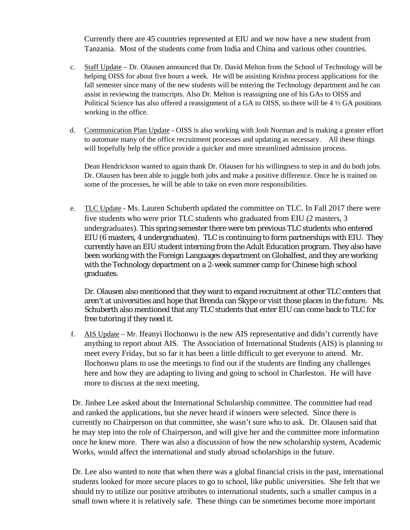Currently there are 45 countries represented at EIU and we now have a new student from Tanzania. Most of the students come from India and China and various other countries.

- c. Staff Update Dr. Olausen announced that Dr. David Melton from the School of Technology will be helping OISS for about five hours a week. He will be assisting Krishna process applications for the fall semester since many of the new students will be entering the Technology department and he can assist in reviewing the transcripts. Also Dr. Melton is reassigning one of his GAs to OISS and Political Science has also offered a reassignment of a GA to OISS, so there will be 4 ½ GA positions working in the office.
- d. Communication Plan Update OISS is also working with Josh Norman and is making a greater effort to automate many of the office recruitment processes and updating as necessary. All these things will hopefully help the office provide a quicker and more streamlined admission process.

Dean Hendrickson wanted to again thank Dr. Olausen for his willingness to step in and do both jobs. Dr. Olausen has been able to juggle both jobs and make a positive difference. Once he is trained on some of the processes, he will be able to take on even more responsibilities.

e. TLC Update - Ms. Lauren Schuberth updated the committee on TLC. In Fall 2017 there were five students who were prior TLC students who graduated from EIU (2 masters, 3 undergraduates). This spring semester there were ten previous TLC students who entered EIU (6 masters, 4 undergraduates). TLC is continuing to form partnerships with EIU. They currently have an EIU student interning from the Adult Education program. They also have been working with the Foreign Languages department on Globalfest, and they are working with the Technology department on a 2-week summer camp for Chinese high school graduates.

Dr. Olausen also mentioned that they want to expand recruitment at other TLC centers that aren't at universities and hope that Brenda can Skype or visit those places in the future. Ms. Schuberth also mentioned that any TLC students that enter EIU can come back to TLC for free tutoring if they need it.

f. AIS Update – Mr. Ifeanyi Ilochonwu is the new AIS representative and didn't currently have anything to report about AIS. The Association of International Students (AIS) is planning to meet every Friday, but so far it has been a little difficult to get everyone to attend. Mr. Ilochonwu plans to use the meetings to find out if the students are finding any challenges here and how they are adapting to living and going to school in Charleston. He will have more to discuss at the next meeting.

Dr. Jinhee Lee asked about the International Scholarship committee. The committee had read and ranked the applications, but she never heard if winners were selected. Since there is currently no Chairperson on that committee, she wasn't sure who to ask. Dr. Olausen said that he may step into the role of Chairperson, and will give her and the committee more information once he knew more. There was also a discussion of how the new scholarship system, Academic Works, would affect the international and study abroad scholarships in the future.

Dr. Lee also wanted to note that when there was a global financial crisis in the past, international students looked for more secure places to go to school, like public universities. She felt that we should try to utilize our positive attributes to international students, such a smaller campus in a small town where it is relatively safe. These things can be sometimes become more important